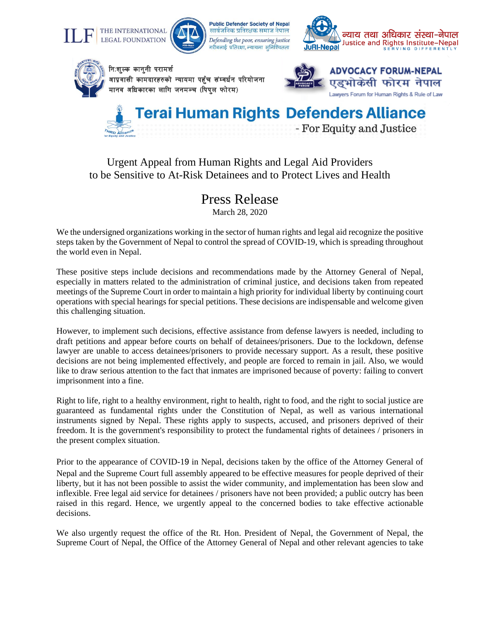



**Public Defender Society of Nepal** सार्वजनिक प्रतिरक्षक समाज नेपाल Defending the poor, ensuring justice ,<br>गरीबलाई प्रतिरक्षा, न्यायमा सुनिश्चितता





निःशुल्क कानुनी परामर्श आप्रवासी कामदारहरुको न्यायमा पहुँच संम्वर्धन परियोजना मानव अधिकारका लागि जनमञ्च (पिपल फोरम)





## Urgent Appeal from Human Rights and Legal Aid Providers to be Sensitive to At-Risk Detainees and to Protect Lives and Health

## Press Release

March 28, 2020

We the undersigned organizations working in the sector of human rights and legal aid recognize the positive steps taken by the Government of Nepal to control the spread of COVID-19, which is spreading throughout the world even in Nepal.

These positive steps include decisions and recommendations made by the Attorney General of Nepal, especially in matters related to the administration of criminal justice, and decisions taken from repeated meetings of the Supreme Court in order to maintain a high priority for individual liberty by continuing court operations with special hearings for special petitions. These decisions are indispensable and welcome given this challenging situation.

However, to implement such decisions, effective assistance from defense lawyers is needed, including to draft petitions and appear before courts on behalf of detainees/prisoners. Due to the lockdown, defense lawyer are unable to access detainees/prisoners to provide necessary support. As a result, these positive decisions are not being implemented effectively, and people are forced to remain in jail. Also, we would like to draw serious attention to the fact that inmates are imprisoned because of poverty: failing to convert imprisonment into a fine.

Right to life, right to a healthy environment, right to health, right to food, and the right to social justice are guaranteed as fundamental rights under the Constitution of Nepal, as well as various international instruments signed by Nepal. These rights apply to suspects, accused, and prisoners deprived of their freedom. It is the government's responsibility to protect the fundamental rights of detainees / prisoners in the present complex situation.

Prior to the appearance of COVID-19 in Nepal, decisions taken by the office of the Attorney General of Nepal and the Supreme Court full assembly appeared to be effective measures for people deprived of their liberty, but it has not been possible to assist the wider community, and implementation has been slow and inflexible. Free legal aid service for detainees / prisoners have not been provided; a public outcry has been raised in this regard. Hence, we urgently appeal to the concerned bodies to take effective actionable decisions.

We also urgently request the office of the Rt. Hon. President of Nepal, the Government of Nepal, the Supreme Court of Nepal, the Office of the Attorney General of Nepal and other relevant agencies to take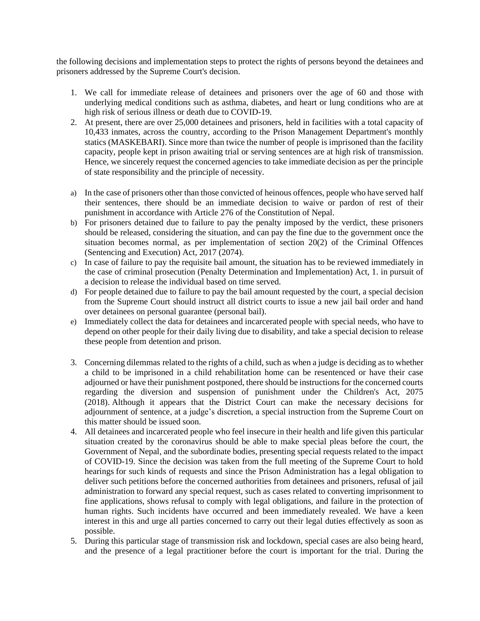the following decisions and implementation steps to protect the rights of persons beyond the detainees and prisoners addressed by the Supreme Court's decision.

- 1. We call for immediate release of detainees and prisoners over the age of 60 and those with underlying medical conditions such as asthma, diabetes, and heart or lung conditions who are at high risk of serious illness or death due to COVID-19.
- 2. At present, there are over 25,000 detainees and prisoners, held in facilities with a total capacity of 10,433 inmates, across the country, according to the Prison Management Department's monthly statics (MASKEBARI). Since more than twice the number of people is imprisoned than the facility capacity, people kept in prison awaiting trial or serving sentences are at high risk of transmission. Hence, we sincerely request the concerned agencies to take immediate decision as per the principle of state responsibility and the principle of necessity.
- a) In the case of prisoners other than those convicted of heinous offences, people who have served half their sentences, there should be an immediate decision to waive or pardon of rest of their punishment in accordance with Article 276 of the Constitution of Nepal.
- b) For prisoners detained due to failure to pay the penalty imposed by the verdict, these prisoners should be released, considering the situation, and can pay the fine due to the government once the situation becomes normal, as per implementation of section 20(2) of the Criminal Offences (Sentencing and Execution) Act, 2017 (2074).
- c) In case of failure to pay the requisite bail amount, the situation has to be reviewed immediately in the case of criminal prosecution (Penalty Determination and Implementation) Act, 1. in pursuit of a decision to release the individual based on time served.
- d) For people detained due to failure to pay the bail amount requested by the court, a special decision from the Supreme Court should instruct all district courts to issue a new jail bail order and hand over detainees on personal guarantee (personal bail).
- e) Immediately collect the data for detainees and incarcerated people with special needs, who have to depend on other people for their daily living due to disability, and take a special decision to release these people from detention and prison.
- 3. Concerning dilemmas related to the rights of a child, such as when a judge is deciding as to whether a child to be imprisoned in a child rehabilitation home can be resentenced or have their case adjourned or have their punishment postponed, there should be instructions for the concerned courts regarding the diversion and suspension of punishment under the Children's Act, 2075 (2018). Although it appears that the District Court can make the necessary decisions for adjournment of sentence, at a judge's discretion, a special instruction from the Supreme Court on this matter should be issued soon.
- 4. All detainees and incarcerated people who feel insecure in their health and life given this particular situation created by the coronavirus should be able to make special pleas before the court, the Government of Nepal, and the subordinate bodies, presenting special requests related to the impact of COVID-19. Since the decision was taken from the full meeting of the Supreme Court to hold hearings for such kinds of requests and since the Prison Administration has a legal obligation to deliver such petitions before the concerned authorities from detainees and prisoners, refusal of jail administration to forward any special request, such as cases related to converting imprisonment to fine applications, shows refusal to comply with legal obligations, and failure in the protection of human rights. Such incidents have occurred and been immediately revealed. We have a keen interest in this and urge all parties concerned to carry out their legal duties effectively as soon as possible.
- 5. During this particular stage of transmission risk and lockdown, special cases are also being heard, and the presence of a legal practitioner before the court is important for the trial. During the